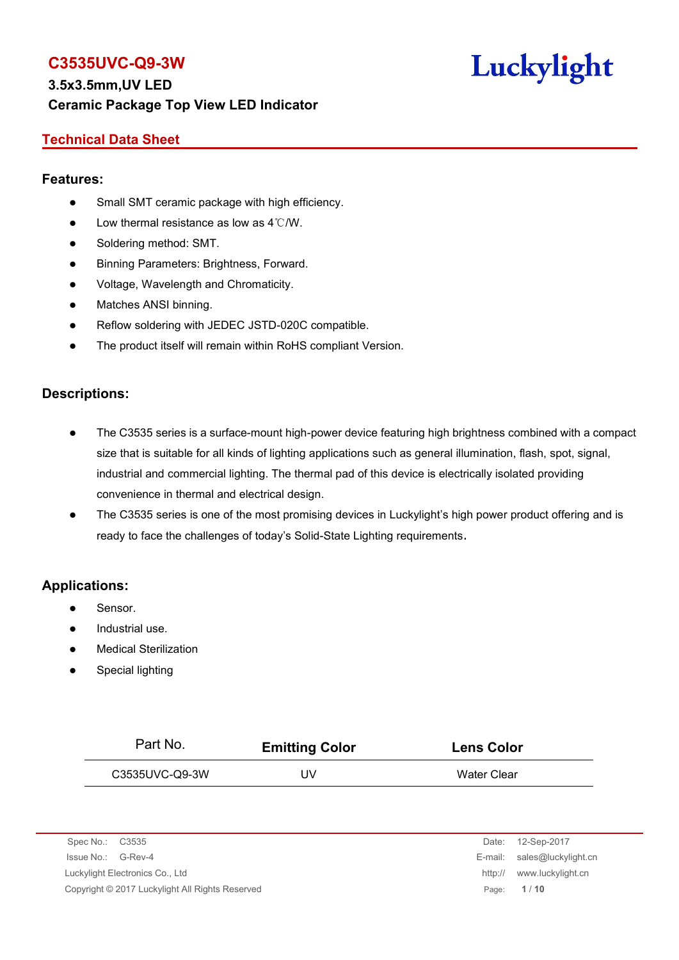

#### **Technical Data Sheet**

#### **Features:**

- Small SMT ceramic package with high efficiency.
- $\bullet$  Low thermal resistance as low as 4℃/W.
- Soldering method: SMT.
- Binning Parameters: Brightness, Forward.
- Voltage, Wavelength and Chromaticity.
- Matches ANSI binning.
- Reflow soldering with JEDEC JSTD-020C compatible.
- The product itself will remain within RoHS compliant Version.

#### **Descriptions:**

- The C3535 series is a surface-mount high-power device featuring high brightness combined with a compact size that is suitable for all kinds of lighting applications such as general illumination, flash, spot, signal, industrial and commercial lighting. The thermal pad of this device is electrically isolated providing convenience in thermal and electrical design.
- The C3535 series is one of the most promising devices in Luckylight's high power product offering and is ready to face the challenges of today's Solid-State Lighting requirements.

#### **Applications:**

- Sensor.
- Industrial use.
- Medical Sterilization
- Special lighting

| Part No.           | <b>Emitting Color</b> | <b>Lens Color</b>    |
|--------------------|-----------------------|----------------------|
| C3535UVC-Q9-3W     | UV                    | Water Clear          |
|                    |                       |                      |
|                    |                       |                      |
| Spec No.:<br>C3535 |                       | 12-Sep-2017<br>Date: |

| ONGO INO COOOO                                  | $DdE. \tIZ-JEU-ZUII$        |
|-------------------------------------------------|-----------------------------|
| Issue No.: G-Rev-4                              | E-mail: sales@luckylight.cn |
| Luckylight Electronics Co., Ltd                 | http:// www.luckylight.cn   |
| Copyright © 2017 Luckylight All Rights Reserved | Page: 1/10                  |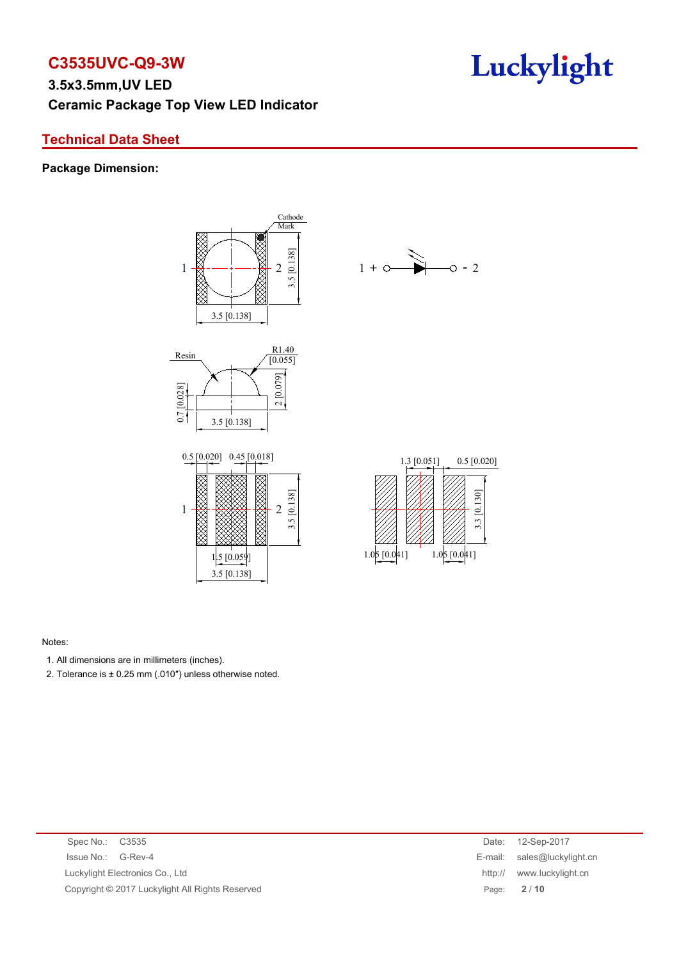### **Technical Data Sheet**

#### **Package Dimension:**



#### Notes:

- 1. All dimensions are in millimeters (inches).
- 2. Tolerance is  $\pm$  0.25 mm (.010") unless otherwise noted.

| Spec No.: C3535                                 | Date: | 12-Sep-2017                 |
|-------------------------------------------------|-------|-----------------------------|
| Issue No.: G-Rev-4                              |       | E-mail: sales@luckylight.cn |
| Luckylight Electronics Co., Ltd                 |       | http:// www.luckylight.cn   |
| Copyright © 2017 Luckylight All Rights Reserved |       | Page: 2/10                  |
|                                                 |       |                             |

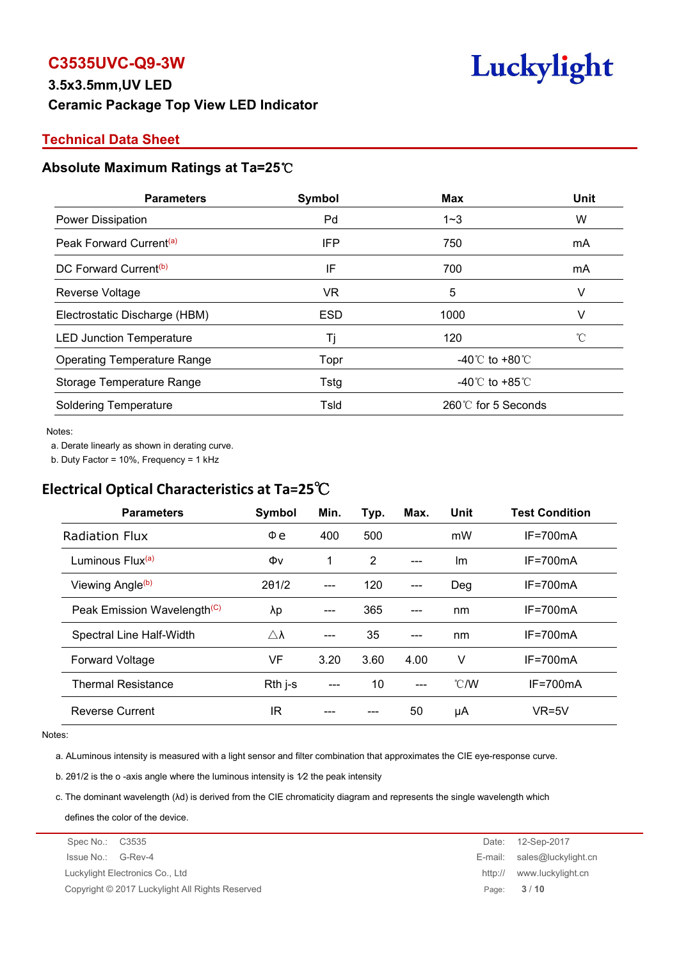

#### **Technical Data Sheet**

#### **Absolute Maximum Ratings at Ta=25**℃

| <b>Parameters</b>                   | Symbol     | Max                                | Unit |
|-------------------------------------|------------|------------------------------------|------|
| Power Dissipation                   | Pd         | $1 - 3$                            | W    |
| Peak Forward Current <sup>(a)</sup> | IFP        | 750                                | mA   |
| DC Forward Current <sup>(b)</sup>   | IF         | 700                                | mA   |
| Reverse Voltage                     | VR.        | 5                                  |      |
| Electrostatic Discharge (HBM)       | <b>ESD</b> | 1000                               |      |
| <b>LED Junction Temperature</b>     | Γi         | 120                                |      |
| <b>Operating Temperature Range</b>  | Topr       | -40 $\degree$ C to +80 $\degree$ C |      |
| Storage Temperature Range           | Tstg       | -40 $\degree$ C to +85 $\degree$ C |      |
| <b>Soldering Temperature</b>        | Tsld       | 260℃ for 5 Seconds                 |      |

#### Notes:

a. Derate linearly as shown in derating curve.

b. Duty Factor = 10%, Frequency = 1 kHz

## **Electrical Optical Characteristics at Ta=25**℃

| Symbol              | Min.  | Typ. | Max.  | Unit           | <b>Test Condition</b> |
|---------------------|-------|------|-------|----------------|-----------------------|
| $\Phi$ e            | 400   | 500  |       | mW             | $IF = 700mA$          |
| Φv                  | 1     | 2    | $---$ | Im             | $IF = 700mA$          |
| 201/2               | $---$ | 120  | $---$ | Deg            | $IF = 700mA$          |
| λp                  | ---   | 365  | $---$ | nm             | $IF = 700mA$          |
| $\triangle \lambda$ | ---   | 35   | $---$ | nm             | $IF = 700mA$          |
| VF                  | 3.20  | 3.60 | 4.00  | v              | $IF = 700mA$          |
| $Rth$ j-s           | $---$ | 10   | $---$ | $^{\circ}$ C/W | $IF = 700mA$          |
| <b>IR</b>           | ---   |      | 50    | μA             | $VR=5V$               |
|                     |       |      |       |                |                       |

#### Notes:

a. ALuminous intensity is measured with a light sensor and filter combination that approximates the CIE eye-response curve.

b. 2θ1/2 is the o -axis angle where the luminous intensity is 1⁄2 the peak intensity

c. The dominant wavelength (λd) is derived from the CIE chromaticity diagram and represents the single wavelength which

defines the color of the device.

Luckylight Electronics Co., Ltd http:// www.luckylight.cn

Copyright © 2017 Luckylight All Rights Reserved Page: **3** / **10**

Spec No.: C3535 Date: 12-Sep-2017 Issue No.: G-Rev-4 E-mail: sales@luckylight.cn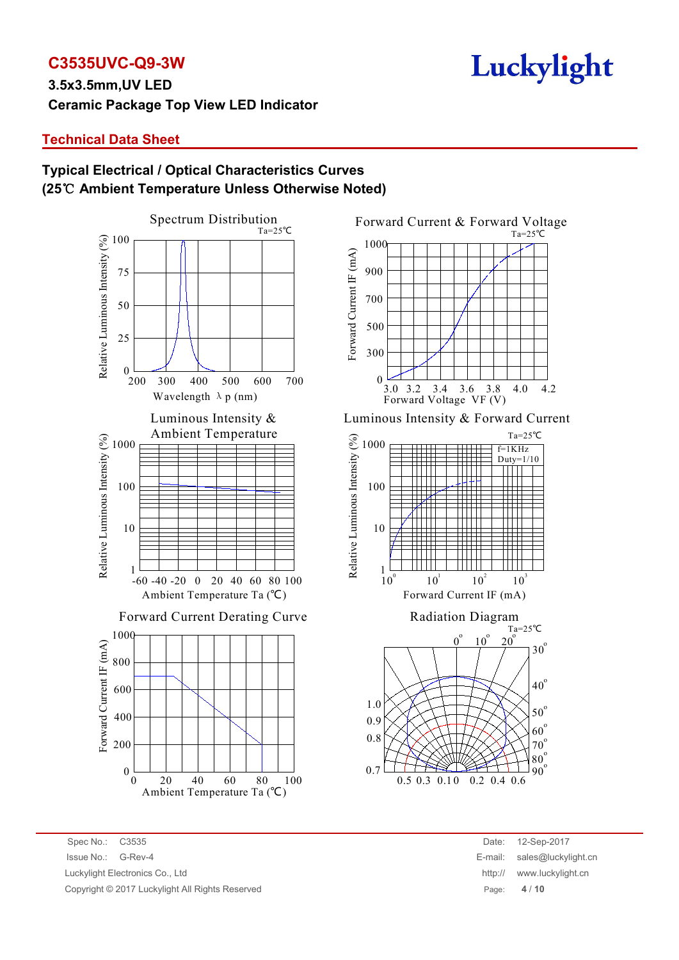# **C3535UVC-Q9-3W**

### **Technical Data Sheet**

### **Typical Electrical / Optical Characteristics Curves (25**℃ **Ambient Temperature Unless Otherwise Noted)**





Spec No.: C3535 Date: 12-Sep-2017 Issue No.: G-Rev-4 E-mail: sales@luckylight.cn Luckylight Electronics Co., Ltd **http:// www.luckylight.cn** http:// www.luckylight.cn Copyright © 2017 Luckylight All Rights Reserved Page: **4** / **10**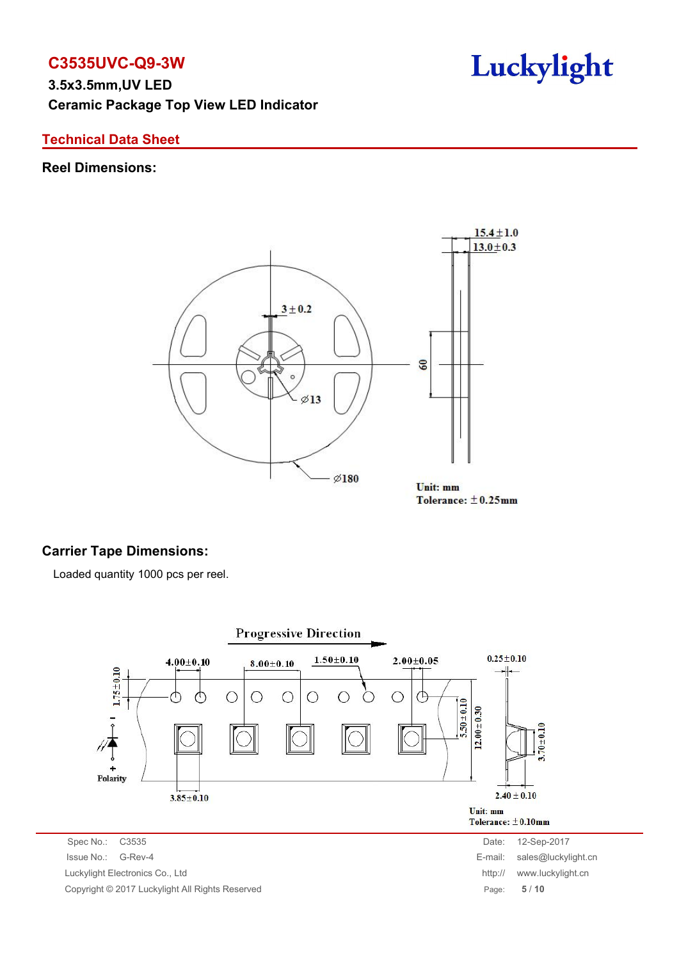**C3535UVC-Q9-3W 3.5x3.5mm,UV LED Ceramic Package Top View LED Indicator**

### **Technical Data Sheet**

#### **Reel Dimensions:**



Tolerance:  $\pm$ 0.25mm

### **Carrier Tape Dimensions:**

Loaded quantity 1000 pcs per reel.

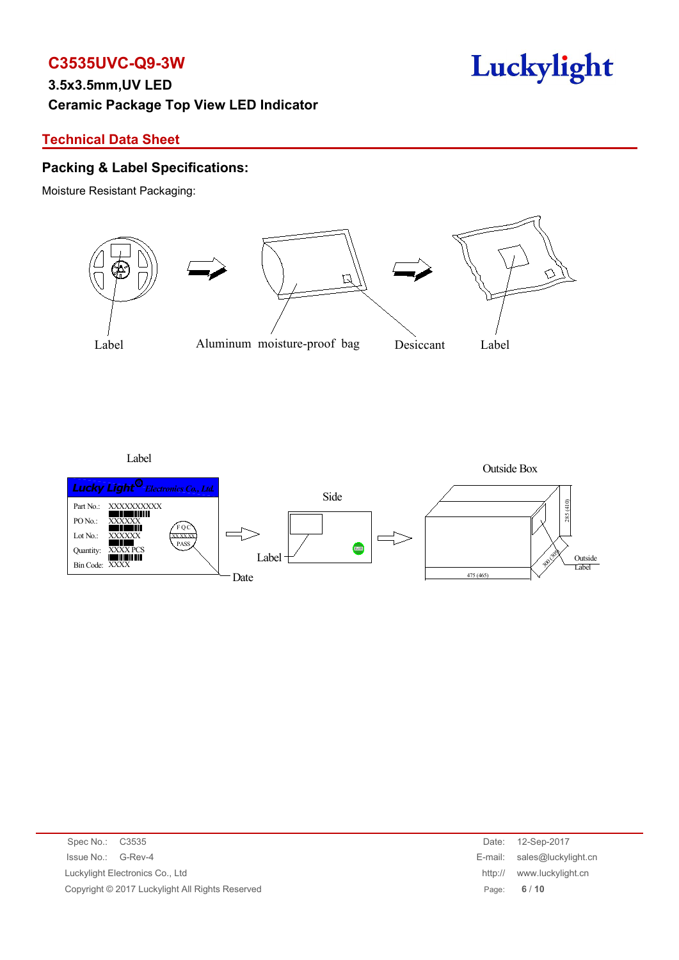### **Technical Data Sheet**

#### **Packing & Label Specifications:**

Moisture Resistant Packaging:



Label



| Spec No.: C3535                                 | Date:   | 12-Sep-2017                 |
|-------------------------------------------------|---------|-----------------------------|
| Issue No.: G-Rev-4                              |         | E-mail: sales@luckylight.cn |
| Luckylight Electronics Co., Ltd                 | http:// | www.luckylight.cn           |
| Copyright © 2017 Luckylight All Rights Reserved |         | Page: $6/10$                |
|                                                 |         |                             |

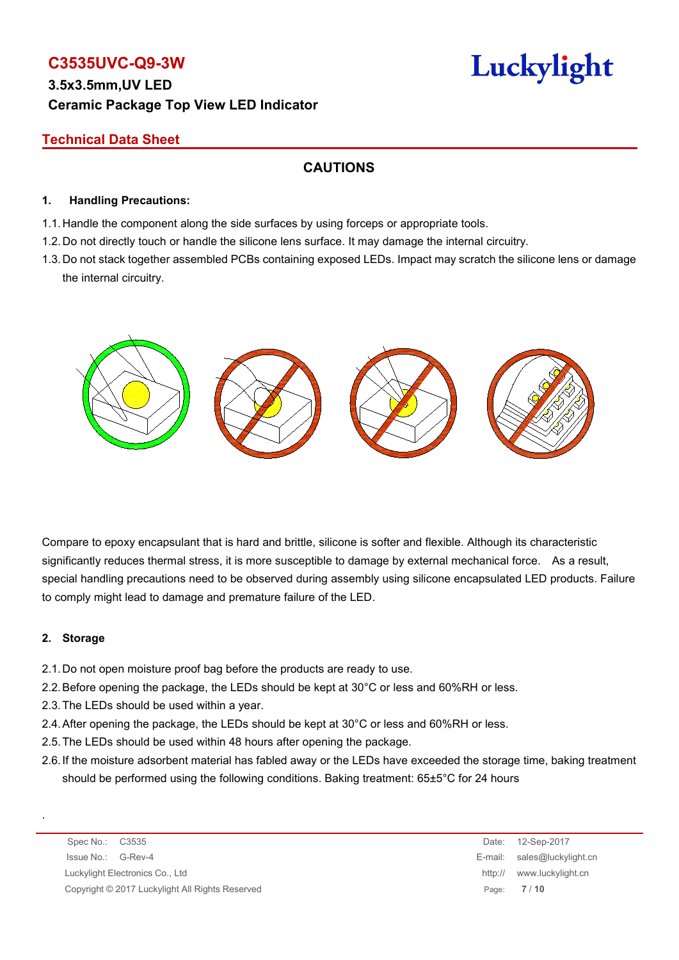# **C3535UVC-Q9-3W**

### **Technical Data Sheet**

### **CAUTIONS**

#### **1. Handling Precautions:**

- 1.1. Handle the component along the side surfaces by using forceps or appropriate tools.
- 1.2. Do not directly touch or handle the silicone lens surface. It may damage the internal circuitry.
- 1.3. Do not stack together assembled PCBs containing exposed LEDs. Impact may scratch the silicone lens or damage the internal circuitry.



Compare to epoxy encapsulant that is hard and brittle, silicone is softer and flexible. Although its characteristic significantly reduces thermal stress, it is more susceptible to damage by external mechanical force. As a result, special handling precautions need to be observed during assembly using silicone encapsulated LED products. Failure to comply might lead to damage and premature failure of the LED.

#### **2. Storage**

.

- 2.1.Do not open moisture proof bag before the products are ready to use.
- 2.2.Before opening the package, the LEDs should be kept at 30°C or less and 60%RH or less.
- 2.3.The LEDs should be used within a year.
- 2.4.After opening the package, the LEDs should be kept at 30°C or less and 60%RH or less.
- 2.5.The LEDs should be used within 48 hours after opening the package.
- 2.6.If the moisture adsorbent material has fabled away or the LEDs have exceeded the storage time, baking treatment should be performed using the following conditions. Baking treatment: 65±5°C for 24 hours

Spec No.: C3535 Date: 12-Sep-2017 Issue No.: G-Rev-4 E-mail: sales@luckylight.cn Luckylight Electronics Co., Ltd **http:// www.luckylight.cn** http:// www.luckylight.cn Copyright © 2017 Luckylight All Rights Reserved Page: **7** / **10**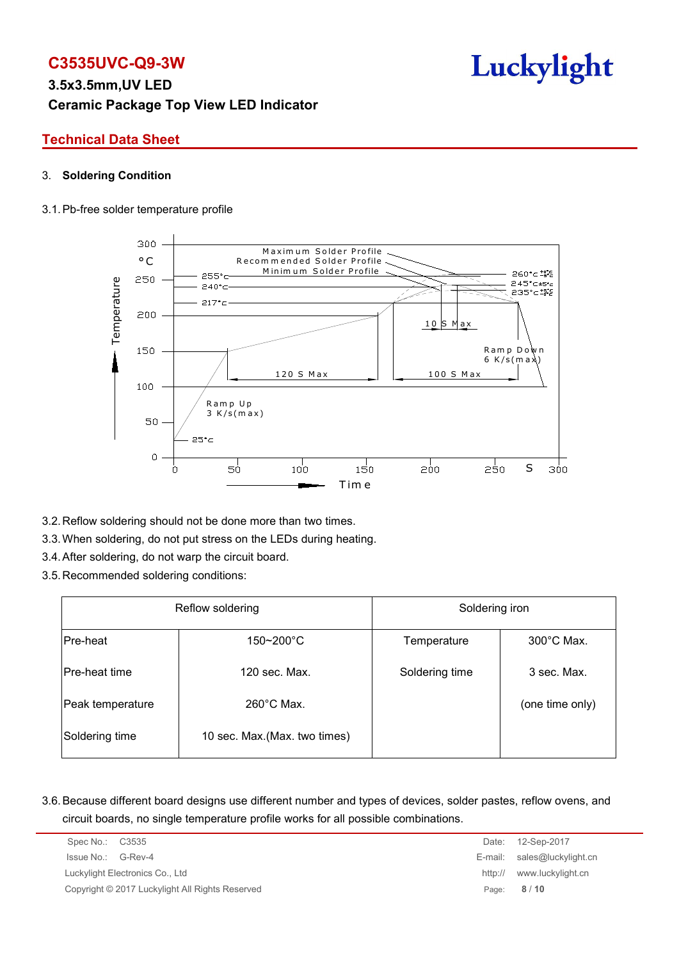# **C3535UVC-Q9-3W**

### **Technical Data Sheet**

#### 3. **Soldering Condition**

#### 3.1.Pb-free solder temperature profile



- 3.2.Reflow soldering should not be done more than two times.
- 3.3.When soldering, do not put stress on the LEDs during heating.
- 3.4.After soldering, do not warp the circuit board.
- 3.5.Recommended soldering conditions:

|                      | Reflow soldering              | Soldering iron |                      |  |  |
|----------------------|-------------------------------|----------------|----------------------|--|--|
| Pre-heat             | $150 - 200$ °C                | Temperature    | $300^{\circ}$ C Max. |  |  |
| <b>Pre-heat time</b> | 120 sec. Max.                 | Soldering time | 3 sec. Max.          |  |  |
| Peak temperature     | $260^{\circ}$ C Max.          |                | (one time only)      |  |  |
| Soldering time       | 10 sec. Max. (Max. two times) |                |                      |  |  |

3.6.Because different board designs use different number and types of devices, solder pastes, reflow ovens, and circuit boards, no single temperature profile works for all possible combinations.

| Spec No.: C3535                                 | Date:   | 12-Sep-2017                 |
|-------------------------------------------------|---------|-----------------------------|
| Issue No.: G-Rev-4                              |         | E-mail: sales@luckylight.cn |
| Luckylight Electronics Co., Ltd                 | http:// | www.luckylight.cn           |
| Copyright © 2017 Luckylight All Rights Reserved |         | Page: 8/10                  |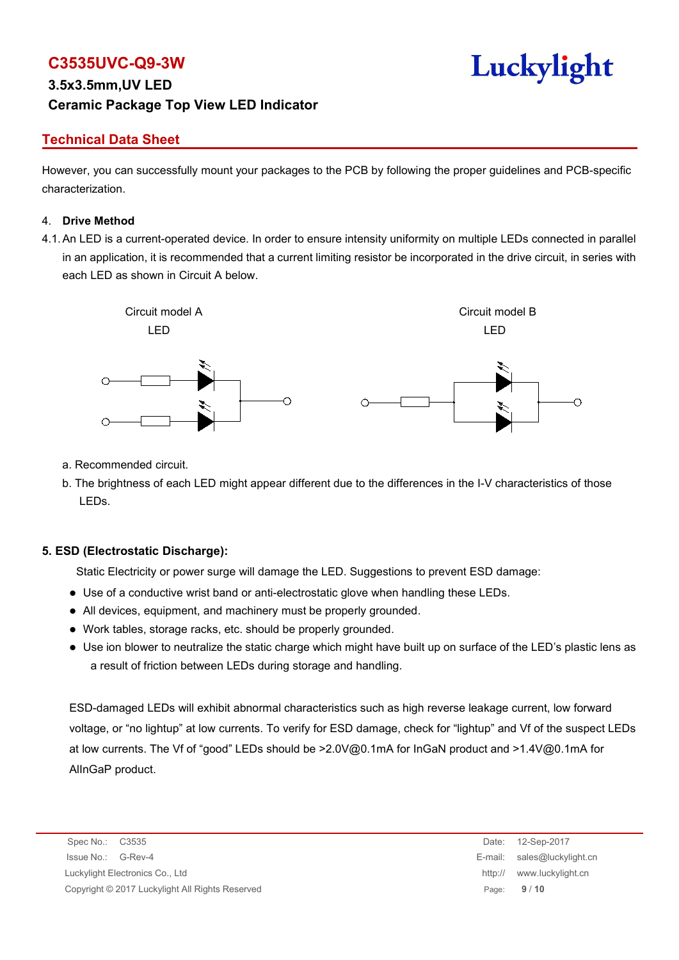# **C3535UVC-Q9-3W**

### **Technical Data Sheet**

However, you can successfully mount your packages to the PCB by following the proper guidelines and PCB-specific characterization.

#### 4. **Drive Method**

4.1.An LED is a current-operated device. In order to ensure intensity uniformity on multiple LEDs connected in parallel in an application, it is recommended that a current limiting resistor be incorporated in the drive circuit, in series with each LED as shown in Circuit A below.



- a. Recommended circuit.
- b. The brightness of each LED might appear different due to the differences in the I-V characteristics of those LEDs.

#### **5. ESD (Electrostatic Discharge):**

Static Electricity or power surge will damage the LED. Suggestions to prevent ESD damage:

- Use of a conductive wrist band or anti-electrostatic glove when handling these LEDs.
- All devices, equipment, and machinery must be properly grounded.
- Work tables, storage racks, etc. should be properly grounded.
- Use ion blower to neutralize the static charge which might have built up on surface of the LED's plastic lens as a result of friction between LEDs during storage and handling.

ESD-damaged LEDs will exhibit abnormal characteristics such as high reverse leakage current, low forward voltage, or "no lightup" at low currents. To verify for ESD damage, check for "lightup" and Vf of the suspect LEDs at low currents. The Vf of "good" LEDs should be >2.0V@0.1mA for InGaN product and >1.4V@0.1mA for AlInGaP product.